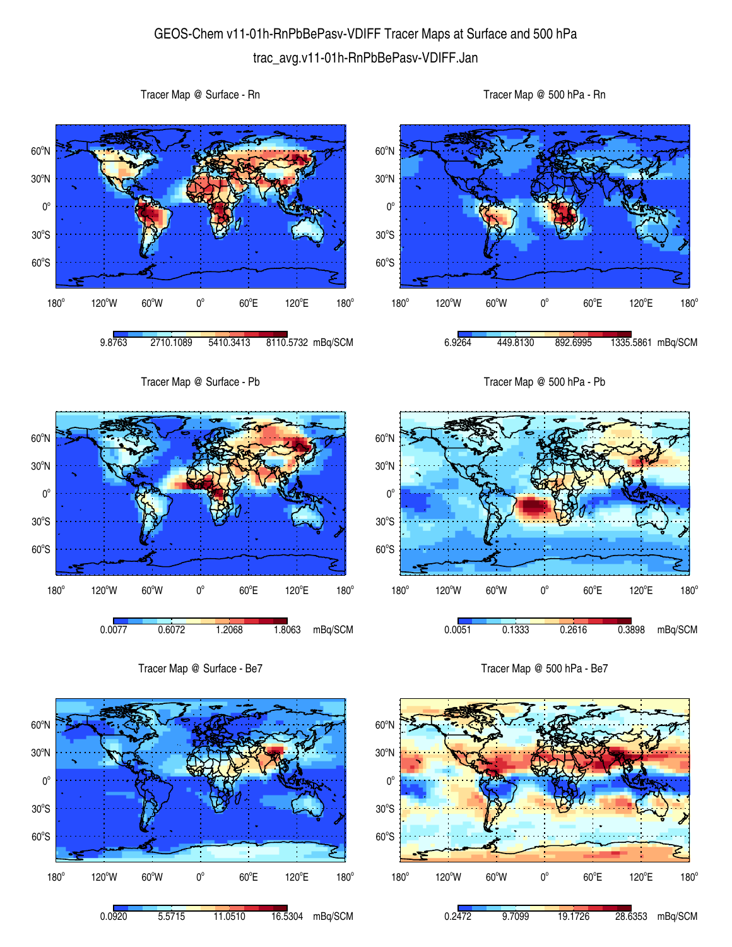## GEOS-Chem v11-01h-RnPbBePasv-VDIFF Tracer Maps at Surface and 500 hPa trac\_avg.v11-01h-RnPbBePasv-VDIFF.Jan

Tracer Map @ Surface - Rn

Tracer Map @ 500 hPa - Rn





 $60^{\circ}E$ 

120°E

 $180^\circ$ 

 $180<sup>°</sup>$ 

120°W 60°W 0°

 $60^{\circ}E$ 

0.2472 9.7099 19.1726 28.6353 mBq/SCM

120°E

 $180^\circ$ 

180°

120°W 60°W 0°